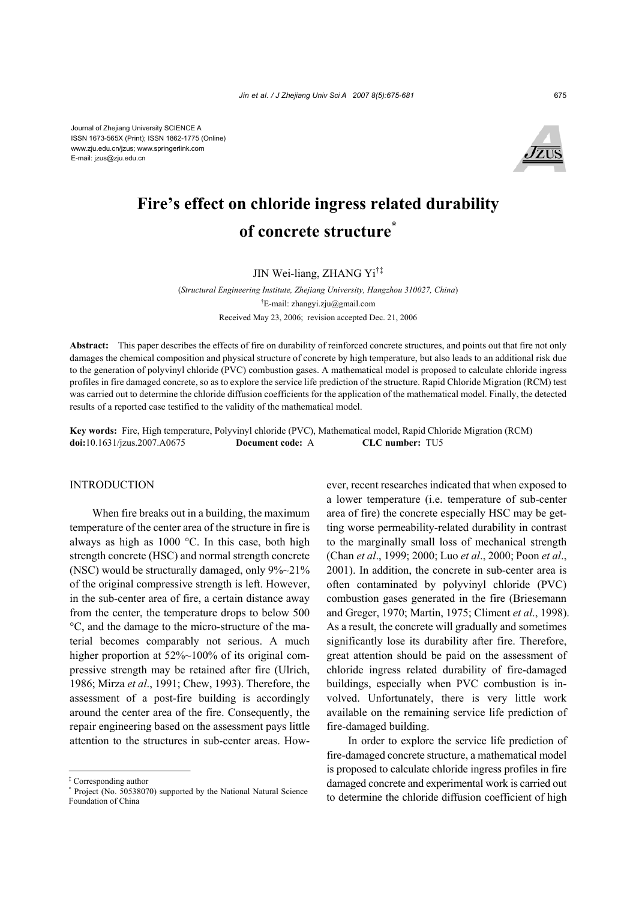Journal of Zhejiang University SCIENCE A ISSN 1673-565X (Print); ISSN 1862-1775 (Online) www.zju.edu.cn/jzus; www.springerlink.com E-mail: jzus@zju.edu.cn



# **Fire's effect on chloride ingress related durability of concrete structure\***

JIN Wei-liang, ZHANG Yi†‡

(*Structural Engineering Institute, Zhejiang University, Hangzhou 310027, China*) † E-mail: zhangyi.zju@gmail.com Received May 23, 2006; revision accepted Dec. 21, 2006

**Abstract:** This paper describes the effects of fire on durability of reinforced concrete structures, and points out that fire not only damages the chemical composition and physical structure of concrete by high temperature, but also leads to an additional risk due to the generation of polyvinyl chloride (PVC) combustion gases. A mathematical model is proposed to calculate chloride ingress profiles in fire damaged concrete, so as to explore the service life prediction of the structure. Rapid Chloride Migration (RCM) test was carried out to determine the chloride diffusion coefficients for the application of the mathematical model. Finally, the detected results of a reported case testified to the validity of the mathematical model.

**Key words:** Fire, High temperature, Polyvinyl chloride (PVC), Mathematical model, Rapid Chloride Migration (RCM) **doi:**10.1631/jzus.2007.A0675 **Document code:** A **CLC number:** TU5

## INTRODUCTION

When fire breaks out in a building, the maximum temperature of the center area of the structure in fire is always as high as 1000 °C. In this case, both high strength concrete (HSC) and normal strength concrete (NSC) would be structurally damaged, only  $9\%~21\%$ of the original compressive strength is left. However, in the sub-center area of fire, a certain distance away from the center, the temperature drops to below 500 °C, and the damage to the micro-structure of the material becomes comparably not serious. A much higher proportion at 52%~100% of its original compressive strength may be retained after fire (Ulrich, 1986; Mirza *et al*., 1991; Chew, 1993). Therefore, the assessment of a post-fire building is accordingly around the center area of the fire. Consequently, the repair engineering based on the assessment pays little attention to the structures in sub-center areas. However, recent researches indicated that when exposed to a lower temperature (i.e. temperature of sub-center area of fire) the concrete especially HSC may be getting worse permeability-related durability in contrast to the marginally small loss of mechanical strength (Chan *et al*., 1999; 2000; Luo *et al*., 2000; Poon *et al*., 2001). In addition, the concrete in sub-center area is often contaminated by polyvinyl chloride (PVC) combustion gases generated in the fire (Briesemann and Greger, 1970; Martin, 1975; Climent *et al*., 1998). As a result, the concrete will gradually and sometimes significantly lose its durability after fire. Therefore, great attention should be paid on the assessment of chloride ingress related durability of fire-damaged buildings, especially when PVC combustion is involved. Unfortunately, there is very little work available on the remaining service life prediction of fire-damaged building.

In order to explore the service life prediction of fire-damaged concrete structure, a mathematical model is proposed to calculate chloride ingress profiles in fire damaged concrete and experimental work is carried out to determine the chloride diffusion coefficient of high

<sup>‡</sup> Corresponding author

<sup>\*</sup> Project (No. 50538070) supported by the National Natural Science Foundation of China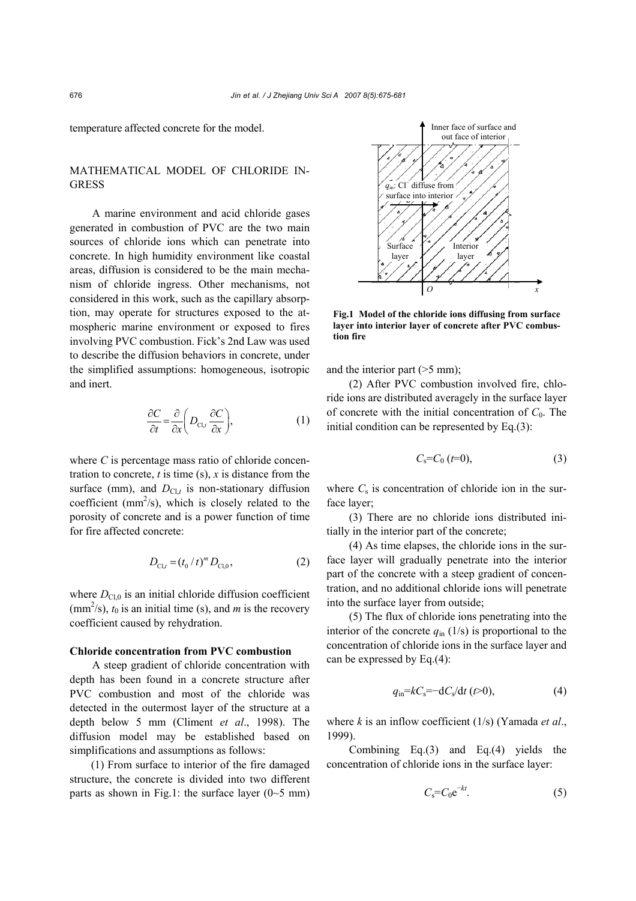temperature affected concrete for the model.

# MATHEMATICAL MODEL OF CHLORIDE IN-**GRESS**

A marine environment and acid chloride gases generated in combustion of PVC are the two main sources of chloride ions which can penetrate into concrete. In high humidity environment like coastal areas, diffusion is considered to be the main mechanism of chloride ingress. Other mechanisms, not considered in this work, such as the capillary absorption, may operate for structures exposed to the atmospheric marine environment or exposed to fires involving PVC combustion. Fick's 2nd Law was used to describe the diffusion behaviors in concrete, under the simplified assumptions: homogeneous, isotropic and inert.

$$
\frac{\partial C}{\partial t} = \frac{\partial}{\partial x} \left( D_{\text{Cl},t} \frac{\partial C}{\partial x} \right),\tag{1}
$$

where *C* is percentage mass ratio of chloride concentration to concrete,  $t$  is time (s),  $x$  is distance from the surface (mm), and  $D_{CL}$  is non-stationary diffusion coefficient ( $mm^2/s$ ), which is closely related to the porosity of concrete and is a power function of time for fire affected concrete:

$$
D_{\text{Cl},t} = (t_0 / t)^m D_{\text{Cl},0},\tag{2}
$$

where  $D_{\text{Cl},0}$  is an initial chloride diffusion coefficient  $\text{(mm}^2\text{/s)}$ ,  $t_0$  is an initial time (s), and *m* is the recovery coefficient caused by rehydration.

#### **Chloride concentration from PVC combustion**

A steep gradient of chloride concentration with depth has been found in a concrete structure after PVC combustion and most of the chloride was detected in the outermost layer of the structure at a depth below 5 mm (Climent *et al*., 1998). The diffusion model may be established based on simplifications and assumptions as follows:

(1) From surface to interior of the fire damaged structure, the concrete is divided into two different parts as shown in Fig.1: the surface layer  $(0~5~\mathrm{mm})$ 



**Fig.1 Model of the chloride ions diffusing from surface layer into interior layer of concrete after PVC combustion fire** 

and the interior part (>5 mm);

(2) After PVC combustion involved fire, chloride ions are distributed averagely in the surface layer of concrete with the initial concentration of  $C_0$ . The initial condition can be represented by Eq.(3):

$$
C_{\rm s} = C_0 \, (t=0), \tag{3}
$$

where  $C_s$  is concentration of chloride ion in the surface layer;

(3) There are no chloride ions distributed initially in the interior part of the concrete;

(4) As time elapses, the chloride ions in the surface layer will gradually penetrate into the interior part of the concrete with a steep gradient of concentration, and no additional chloride ions will penetrate into the surface layer from outside;

(5) The flux of chloride ions penetrating into the interior of the concrete  $q_{in}$  (1/s) is proportional to the concentration of chloride ions in the surface layer and can be expressed by Eq.(4):

$$
q_{\rm in} = kC_{\rm s} = -dC_{\rm s}/dt \quad (t>0), \tag{4}
$$

where *k* is an inflow coefficient (1/s) (Yamada *et al*., 1999).

Combining Eq.(3) and Eq.(4) yields the concentration of chloride ions in the surface layer:

$$
C_{\rm s} = C_0 e^{-kt}.\tag{5}
$$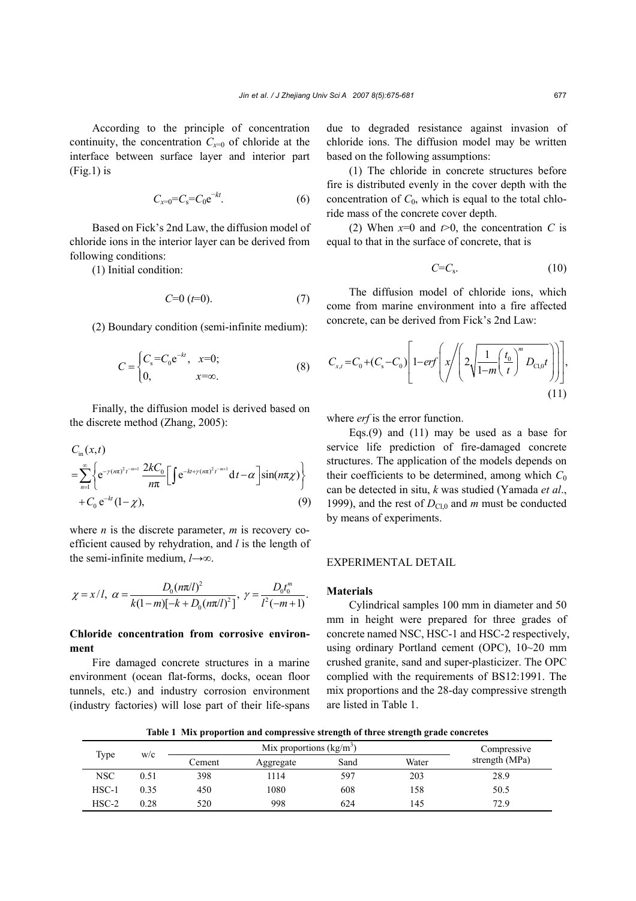According to the principle of concentration continuity, the concentration  $C_{x=0}$  of chloride at the interface between surface layer and interior part  $(Fig.1)$  is

$$
C_{x=0}=C_s=C_0e^{-kt}.\tag{6}
$$

Based on Fick's 2nd Law, the diffusion model of chloride ions in the interior layer can be derived from following conditions:

(1) Initial condition:

$$
C=0 \quad (t=0). \tag{7}
$$

(2) Boundary condition (semi-infinite medium):

$$
C = \begin{cases} C_s = C_0 e^{-kt}, & x=0; \\ 0, & x=\infty. \end{cases}
$$
 (8)

Finally, the diffusion model is derived based on the discrete method (Zhang, 2005):

$$
C_{\text{in}}(x,t) = \sum_{n=1}^{\infty} \left\{ e^{-\gamma (n\pi)^2 t^{-m+1}} \frac{2kC_0}{n\pi} \Big[ \int e^{-kt+\gamma (n\pi)^2 t^{-m+1}} dt - \alpha \Big] \sin(n\pi \chi) \right\} + C_0 e^{-kt} (1-\chi), \tag{9}
$$

where *n* is the discrete parameter, *m* is recovery coefficient caused by rehydration, and *l* is the length of the semi-infinite medium, *l*→∞.

$$
\chi = x/l, \ \alpha = \frac{D_0(n\pi/l)^2}{k(1-m)[-k+D_0(n\pi/l)^2]}, \ \gamma = \frac{D_0t_0^m}{l^2(-m+1)}.
$$

## **Chloride concentration from corrosive environment**

Fire damaged concrete structures in a marine environment (ocean flat-forms, docks, ocean floor tunnels, etc.) and industry corrosion environment (industry factories) will lose part of their life-spans

due to degraded resistance against invasion of chloride ions. The diffusion model may be written based on the following assumptions:

(1) The chloride in concrete structures before fire is distributed evenly in the cover depth with the concentration of  $C_0$ , which is equal to the total chloride mass of the concrete cover depth.

(2) When  $x=0$  and  $t>0$ , the concentration *C* is equal to that in the surface of concrete, that is

$$
C=C_{\rm s}.\tag{10}
$$

The diffusion model of chloride ions, which come from marine environment into a fire affected concrete, can be derived from Fick's 2nd Law:

$$
C_{x,t} = C_0 + (C_s - C_0) \left[ 1 - erf \left( x \left/ \left( 2 \sqrt{\frac{1}{1-m} \left( \frac{t_0}{t} \right)^m D_{Cl,0} t} \right) \right) \right],
$$
\n(11)

where *erf* is the error function.

Eqs.(9) and (11) may be used as a base for service life prediction of fire-damaged concrete structures. The application of the models depends on their coefficients to be determined, among which  $C_0$ can be detected in situ, *k* was studied (Yamada *et al*., 1999), and the rest of  $D_{\text{Cl},0}$  and *m* must be conducted by means of experiments.

## EXPERIMENTAL DETAIL

#### **Materials**

Cylindrical samples 100 mm in diameter and 50 mm in height were prepared for three grades of concrete named NSC, HSC-1 and HSC-2 respectively, using ordinary Portland cement (OPC), 10~20 mm crushed granite, sand and super-plasticizer. The OPC complied with the requirements of BS12:1991. The mix proportions and the 28-day compressive strength are listed in Table 1.

**Table 1 Mix proportion and compressive strength of three strength grade concretes** 

| Type       |      |        | Compressive |      |       |                |
|------------|------|--------|-------------|------|-------|----------------|
|            | W/C  | Cement | Aggregate   | Sand | Water | strength (MPa) |
| <b>NSC</b> | 0.51 | 398    | 1114        | 597  | 203   | 28.9           |
| $HSC-1$    | 0.35 | 450    | 1080        | 608  | 158   | 50.5           |
| $HSC-2$    | 0.28 | 520    | 998         | 624  | 145   | 72.9           |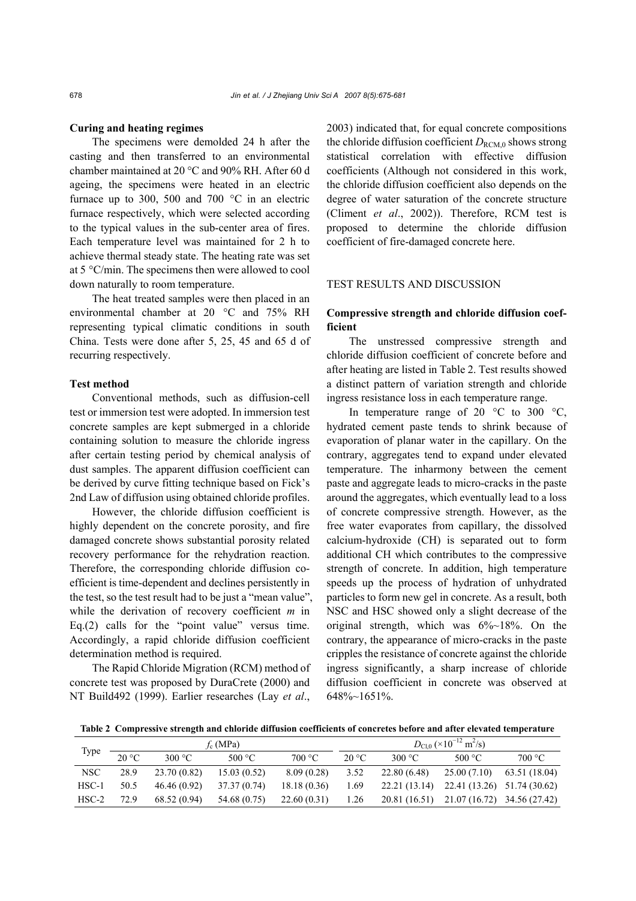#### **Curing and heating regimes**

The specimens were demolded 24 h after the casting and then transferred to an environmental chamber maintained at 20 °C and 90% RH. After 60 d ageing, the specimens were heated in an electric furnace up to 300, 500 and 700  $^{\circ}$ C in an electric furnace respectively, which were selected according to the typical values in the sub-center area of fires. Each temperature level was maintained for 2 h to achieve thermal steady state. The heating rate was set at 5 °C/min. The specimens then were allowed to cool down naturally to room temperature.

The heat treated samples were then placed in an environmental chamber at 20 °C and 75% RH representing typical climatic conditions in south China. Tests were done after 5, 25, 45 and 65 d of recurring respectively.

#### **Test method**

Conventional methods, such as diffusion-cell test or immersion test were adopted. In immersion test concrete samples are kept submerged in a chloride containing solution to measure the chloride ingress after certain testing period by chemical analysis of dust samples. The apparent diffusion coefficient can be derived by curve fitting technique based on Fick's 2nd Law of diffusion using obtained chloride profiles.

However, the chloride diffusion coefficient is highly dependent on the concrete porosity, and fire damaged concrete shows substantial porosity related recovery performance for the rehydration reaction. Therefore, the corresponding chloride diffusion coefficient is time-dependent and declines persistently in the test, so the test result had to be just a "mean value", while the derivation of recovery coefficient *m* in Eq.(2) calls for the "point value" versus time. Accordingly, a rapid chloride diffusion coefficient determination method is required.

The Rapid Chloride Migration (RCM) method of concrete test was proposed by DuraCrete (2000) and NT Build492 (1999). Earlier researches (Lay *et al*.,

2003) indicated that, for equal concrete compositions the chloride diffusion coefficient  $D_{\text{RCM}0}$  shows strong statistical correlation with effective diffusion coefficients (Although not considered in this work, the chloride diffusion coefficient also depends on the degree of water saturation of the concrete structure (Climent *et al*., 2002)). Therefore, RCM test is proposed to determine the chloride diffusion coefficient of fire-damaged concrete here.

### TEST RESULTS AND DISCUSSION

## **Compressive strength and chloride diffusion coefficient**

The unstressed compressive strength and chloride diffusion coefficient of concrete before and after heating are listed in Table 2. Test results showed a distinct pattern of variation strength and chloride ingress resistance loss in each temperature range.

In temperature range of 20  $^{\circ}$ C to 300  $^{\circ}$ C, hydrated cement paste tends to shrink because of evaporation of planar water in the capillary. On the contrary, aggregates tend to expand under elevated temperature. The inharmony between the cement paste and aggregate leads to micro-cracks in the paste around the aggregates, which eventually lead to a loss of concrete compressive strength. However, as the free water evaporates from capillary, the dissolved calcium-hydroxide (CH) is separated out to form additional CH which contributes to the compressive strength of concrete. In addition, high temperature speeds up the process of hydration of unhydrated particles to form new gel in concrete. As a result, both NSC and HSC showed only a slight decrease of the original strength, which was 6%~18%. On the contrary, the appearance of micro-cracks in the paste cripples the resistance of concrete against the chloride ingress significantly, a sharp increase of chloride diffusion coefficient in concrete was observed at 648%~1651%.

**Table 2 Compressive strength and chloride diffusion coefficients of concretes before and after elevated temperature**

| Type       | $f_c(MPa)$ |              |                  |             | $D_{\rm C1.0}$ (×10 <sup>-12</sup> m <sup>2</sup> /s) |                                           |                          |               |
|------------|------------|--------------|------------------|-------------|-------------------------------------------------------|-------------------------------------------|--------------------------|---------------|
|            | 20 °C      | 300 °C       | 500 $^{\circ}$ C | 700 °C      | $20^{\circ}$ C                                        | 300 °C                                    | 500 $\mathrm{^{\circ}C}$ | 700 °C        |
| <b>NSC</b> | 28.9       | 23.70(0.82)  | 15.03(0.52)      | 8.09(0.28)  | 3.52                                                  | 22.80 (6.48)                              | 25.00 (7.10)             | 63.51 (18.04) |
| $HSC-1$    | 50.5       | 46.46(0.92)  | 37.37 (0.74)     | 18.18(0.36) | 1.69                                                  | 22.21 (13.14) 22.41 (13.26) 51.74 (30.62) |                          |               |
| $HSC-2$    | 72.9       | 68.52 (0.94) | 54.68 (0.75)     | 22.60(0.31) | 1.26                                                  | 20.81 (16.51) 21.07 (16.72) 34.56 (27.42) |                          |               |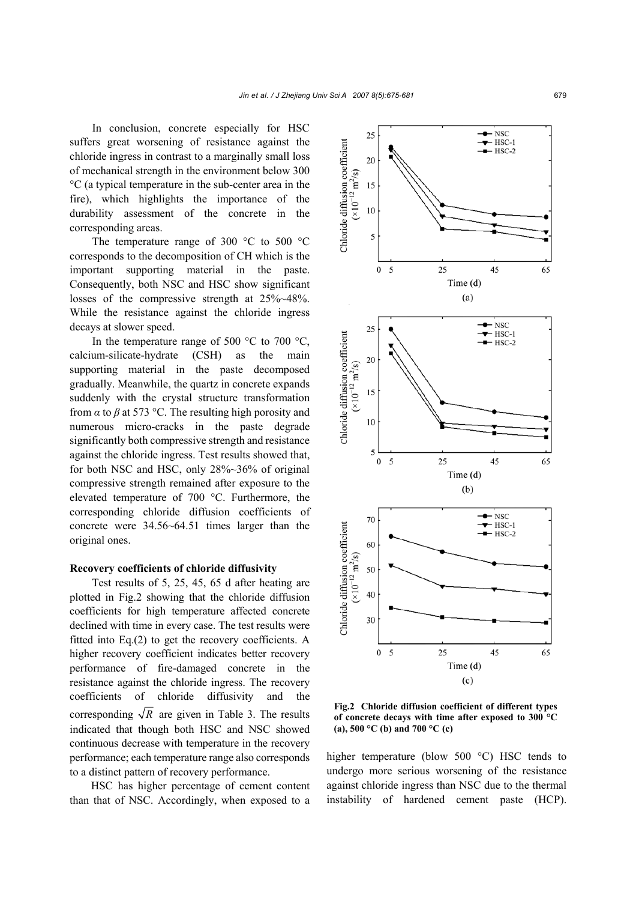In conclusion, concrete especially for HSC suffers great worsening of resistance against the chloride ingress in contrast to a marginally small loss of mechanical strength in the environment below 300 °C (a typical temperature in the sub-center area in the fire), which highlights the importance of the durability assessment of the concrete in the corresponding areas.

The temperature range of 300 °C to 500 °C corresponds to the decomposition of CH which is the important supporting material in the paste. Consequently, both NSC and HSC show significant losses of the compressive strength at 25%~48%. While the resistance against the chloride ingress decays at slower speed.

In the temperature range of 500  $^{\circ}$ C to 700  $^{\circ}$ C, calcium-silicate-hydrate (CSH) as the main supporting material in the paste decomposed gradually. Meanwhile, the quartz in concrete expands suddenly with the crystal structure transformation from  $\alpha$  to  $\beta$  at 573 °C. The resulting high porosity and numerous micro-cracks in the paste degrade significantly both compressive strength and resistance against the chloride ingress. Test results showed that, for both NSC and HSC, only 28%~36% of original compressive strength remained after exposure to the elevated temperature of 700 °C. Furthermore, the corresponding chloride diffusion coefficients of concrete were 34.56~64.51 times larger than the original ones.

## **Recovery coefficients of chloride diffusivity**

Test results of 5, 25, 45, 65 d after heating are plotted in Fig.2 showing that the chloride diffusion coefficients for high temperature affected concrete declined with time in every case. The test results were fitted into Eq.(2) to get the recovery coefficients. A higher recovery coefficient indicates better recovery performance of fire-damaged concrete in the resistance against the chloride ingress. The recovery coefficients of chloride diffusivity and the corresponding  $\sqrt{R}$  are given in Table 3. The results indicated that though both HSC and NSC showed continuous decrease with temperature in the recovery performance; each temperature range also corresponds to a distinct pattern of recovery performance.

HSC has higher percentage of cement content than that of NSC. Accordingly, when exposed to a



**Fig.2 Chloride diffusion coefficient of different types of concrete decays with time after exposed to 300 °C (a), 500 °C (b) and 700 °C (c)** 

higher temperature (blow 500 °C) HSC tends to undergo more serious worsening of the resistance against chloride ingress than NSC due to the thermal instability of hardened cement paste (HCP).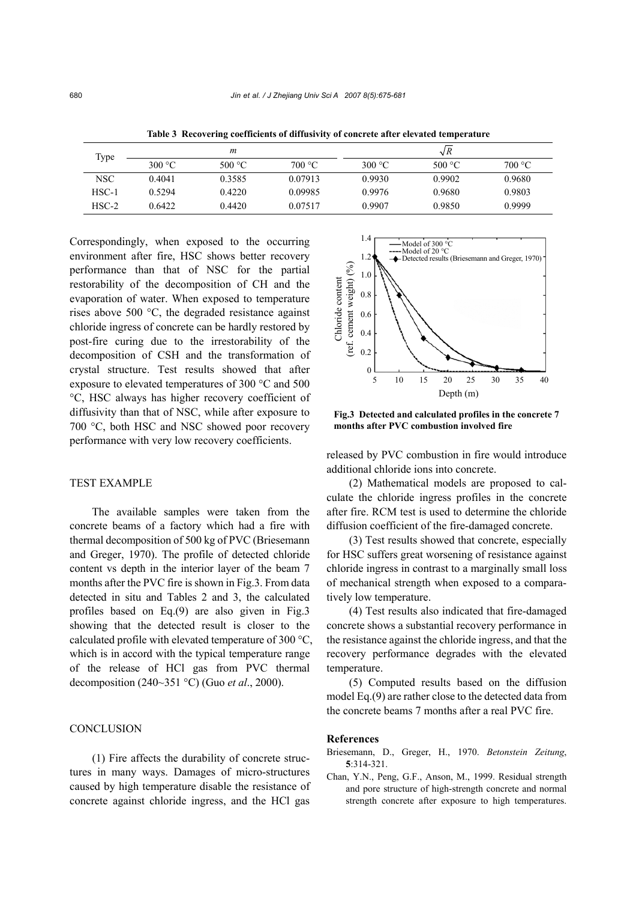| Type    | m                |         |         | $\sqrt{R}$ |                  |        |  |
|---------|------------------|---------|---------|------------|------------------|--------|--|
|         | 300 $^{\circ}$ C | 500 °C. | 700 °C  | 300 °C     | 500 $^{\circ}$ C | 700 °C |  |
| NSC     | 0.4041           | 0.3585  | 0.07913 | 0.9930     | 0.9902           | 0.9680 |  |
| $HSC-1$ | 0.5294           | 0.4220  | 0.09985 | 0.9976     | 0.9680           | 0.9803 |  |
| $HSC-2$ | 0.6422           | 0.4420  | 0.07517 | 0.9907     | 0.9850           | 0.9999 |  |

**Table 3 Recovering coefficients of diffusivity of concrete after elevated temperature** 

Correspondingly, when exposed to the occurring environment after fire, HSC shows better recovery performance than that of NSC for the partial restorability of the decomposition of CH and the evaporation of water. When exposed to temperature rises above 500 °C, the degraded resistance against chloride ingress of concrete can be hardly restored by post-fire curing due to the irrestorability of the decomposition of CSH and the transformation of crystal structure. Test results showed that after exposure to elevated temperatures of 300 °C and 500 °C, HSC always has higher recovery coefficient of diffusivity than that of NSC, while after exposure to 700 °C, both HSC and NSC showed poor recovery performance with very low recovery coefficients.

#### TEST EXAMPLE

The available samples were taken from the concrete beams of a factory which had a fire with thermal decomposition of 500 kg of PVC (Briesemann and Greger, 1970). The profile of detected chloride content vs depth in the interior layer of the beam 7 months after the PVC fire is shown in Fig.3. From data detected in situ and Tables 2 and 3, the calculated profiles based on Eq.(9) are also given in Fig.3 showing that the detected result is closer to the calculated profile with elevated temperature of 300 °C, which is in accord with the typical temperature range of the release of HCl gas from PVC thermal decomposition (240~351 °C) (Guo *et al*., 2000).

#### **CONCLUSION**

(1) Fire affects the durability of concrete structures in many ways. Damages of micro-structures caused by high temperature disable the resistance of concrete against chloride ingress, and the HCl gas



**Fig.3 Detected and calculated profiles in the concrete 7 months after PVC combustion involved fire**

released by PVC combustion in fire would introduce additional chloride ions into concrete.

(2) Mathematical models are proposed to calculate the chloride ingress profiles in the concrete after fire. RCM test is used to determine the chloride diffusion coefficient of the fire-damaged concrete.

(3) Test results showed that concrete, especially for HSC suffers great worsening of resistance against chloride ingress in contrast to a marginally small loss of mechanical strength when exposed to a comparatively low temperature.

(4) Test results also indicated that fire-damaged concrete shows a substantial recovery performance in the resistance against the chloride ingress, and that the recovery performance degrades with the elevated temperature.

(5) Computed results based on the diffusion model Eq.(9) are rather close to the detected data from the concrete beams 7 months after a real PVC fire.

#### **References**

- Briesemann, D., Greger, H., 1970. *Betonstein Zeitung*, **5**:314-321.
- Chan, Y.N., Peng, G.F., Anson, M., 1999. Residual strength and pore structure of high-strength concrete and normal strength concrete after exposure to high temperatures.